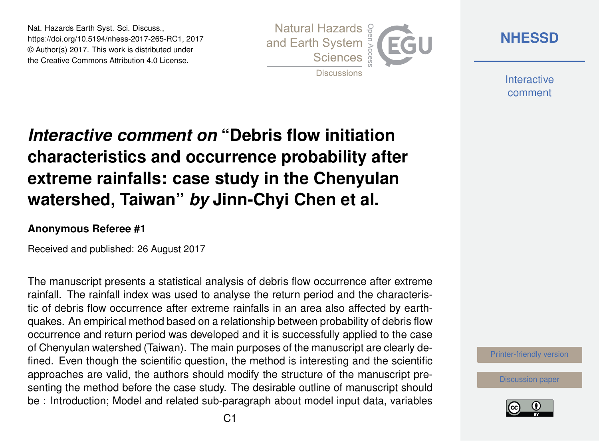Nat. Hazards Earth Syst. Sci. Discuss., https://doi.org/10.5194/nhess-2017-265-RC1, 2017 © Author(s) 2017. This work is distributed under the Creative Commons Attribution 4.0 License.



**[NHESSD](https://www.nat-hazards-earth-syst-sci-discuss.net/)**

**Interactive** comment

## *Interactive comment on* **"Debris flow initiation characteristics and occurrence probability after extreme rainfalls: case study in the Chenyulan watershed, Taiwan"** *by* **Jinn-Chyi Chen et al.**

## **Anonymous Referee #1**

Received and published: 26 August 2017

The manuscript presents a statistical analysis of debris flow occurrence after extreme rainfall. The rainfall index was used to analyse the return period and the characteristic of debris flow occurrence after extreme rainfalls in an area also affected by earthquakes. An empirical method based on a relationship between probability of debris flow occurrence and return period was developed and it is successfully applied to the case of Chenyulan watershed (Taiwan). The main purposes of the manuscript are clearly defined. Even though the scientific question, the method is interesting and the scientific approaches are valid, the authors should modify the structure of the manuscript presenting the method before the case study. The desirable outline of manuscript should be : Introduction; Model and related sub-paragraph about model input data, variables

[Printer-friendly version](https://www.nat-hazards-earth-syst-sci-discuss.net/nhess-2017-265/nhess-2017-265-RC1-print.pdf)

[Discussion paper](https://www.nat-hazards-earth-syst-sci-discuss.net/nhess-2017-265)